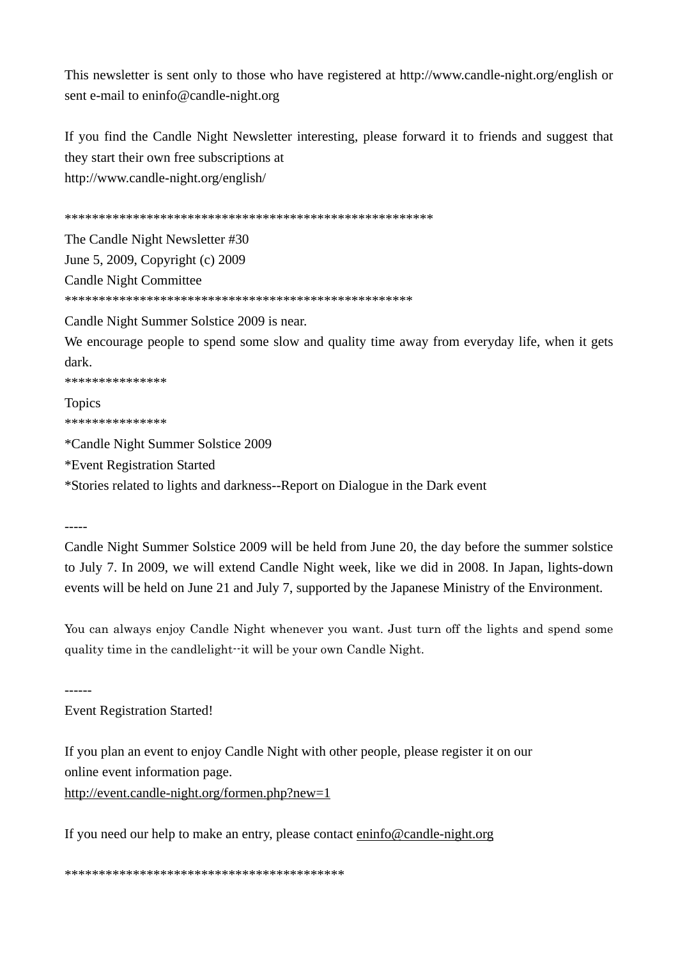This newsletter is sent only to those who have registered at http://www.candle-night.org/english or sent e-mail to eninfo@candle-night.org

If you find the Candle Night Newsletter interesting, please forward it to friends and suggest that they start their own free subscriptions at http://www.candle-night.org/english/

\*\*\*\*\*\*\*\*\*\*\*\*\*\*\*\*\*\*\*\*\*\*\*\*\*\*\*\*\*\*\*\*\*\*\*\*\*\*\*\*\*\*\*\*\*\*\*\*\*\*\*\*\*\* The Candle Night Newsletter #30 June 5, 2009, Copyright (c) 2009 Candle Night Committee \*\*\*\*\*\*\*\*\*\*\*\*\*\*\*\*\*\*\*\*\*\*\*\*\*\*\*\*\*\*\*\*\*\*\*\*\*\*\*\*\*\*\*\*\*\*\*\*\*\*\* Candle Night Summer Solstice 2009 is near. We encourage people to spend some slow and quality time away from everyday life, when it gets dark.

\*\*\*\*\*\*\*\*\*\*\*\*\*\*\*

Topics \*\*\*\*\*\*\*\*\*\*\*\*\*\*\*

\*Candle Night Summer Solstice 2009 \*Event Registration Started \*Stories related to lights and darkness--Report on Dialogue in the Dark event

-----

Candle Night Summer Solstice 2009 will be held from June 20, the day before the summer solstice to July 7. In 2009, we will extend Candle Night week, like we did in 2008. In Japan, lights-down events will be held on June 21 and July 7, supported by the Japanese Ministry of the Environment.

You can always enjoy Candle Night whenever you want. Just turn off the lights and spend some quality time in the candlelight--it will be your own Candle Night.

------

Event Registration Started!

If you plan an event to enjoy Candle Night with other people, please register it on our online event information page.

http://event.candle-night.org/formen.php?new=1

If you need our help to make an entry, please contact eninfo@candle-night.org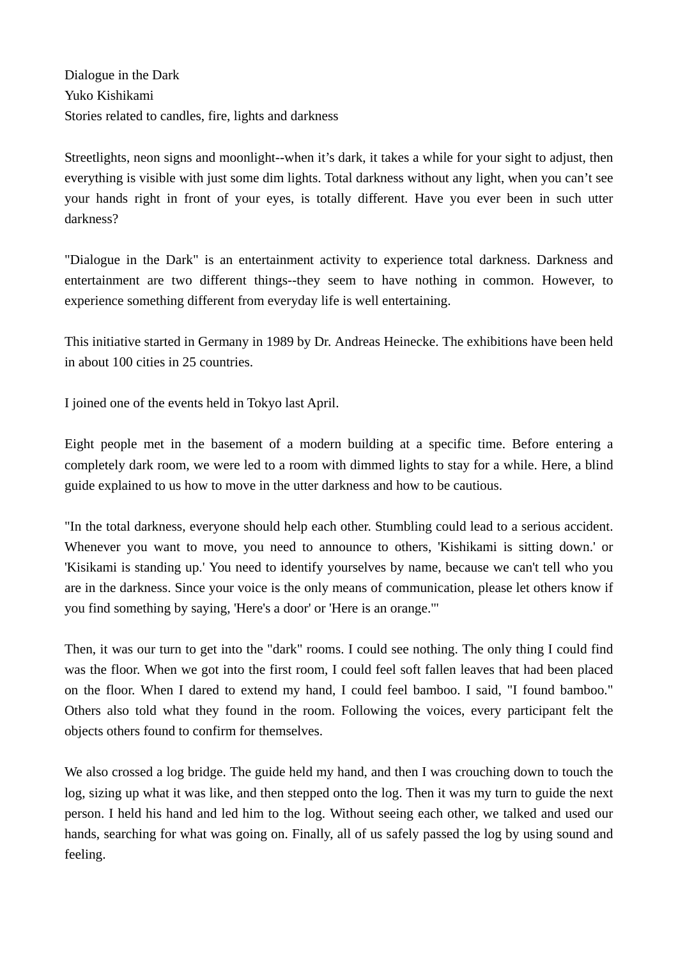Dialogue in the Dark Yuko Kishikami Stories related to candles, fire, lights and darkness

Streetlights, neon signs and moonlight--when it's dark, it takes a while for your sight to adjust, then everything is visible with just some dim lights. Total darkness without any light, when you can't see your hands right in front of your eyes, is totally different. Have you ever been in such utter darkness?

"Dialogue in the Dark" is an entertainment activity to experience total darkness. Darkness and entertainment are two different things--they seem to have nothing in common. However, to experience something different from everyday life is well entertaining.

This initiative started in Germany in 1989 by Dr. Andreas Heinecke. The exhibitions have been held in about 100 cities in 25 countries.

I joined one of the events held in Tokyo last April.

Eight people met in the basement of a modern building at a specific time. Before entering a completely dark room, we were led to a room with dimmed lights to stay for a while. Here, a blind guide explained to us how to move in the utter darkness and how to be cautious.

"In the total darkness, everyone should help each other. Stumbling could lead to a serious accident. Whenever you want to move, you need to announce to others, 'Kishikami is sitting down.' or 'Kisikami is standing up.' You need to identify yourselves by name, because we can't tell who you are in the darkness. Since your voice is the only means of communication, please let others know if you find something by saying, 'Here's a door' or 'Here is an orange.'"

Then, it was our turn to get into the "dark" rooms. I could see nothing. The only thing I could find was the floor. When we got into the first room, I could feel soft fallen leaves that had been placed on the floor. When I dared to extend my hand, I could feel bamboo. I said, "I found bamboo." Others also told what they found in the room. Following the voices, every participant felt the objects others found to confirm for themselves.

We also crossed a log bridge. The guide held my hand, and then I was crouching down to touch the log, sizing up what it was like, and then stepped onto the log. Then it was my turn to guide the next person. I held his hand and led him to the log. Without seeing each other, we talked and used our hands, searching for what was going on. Finally, all of us safely passed the log by using sound and feeling.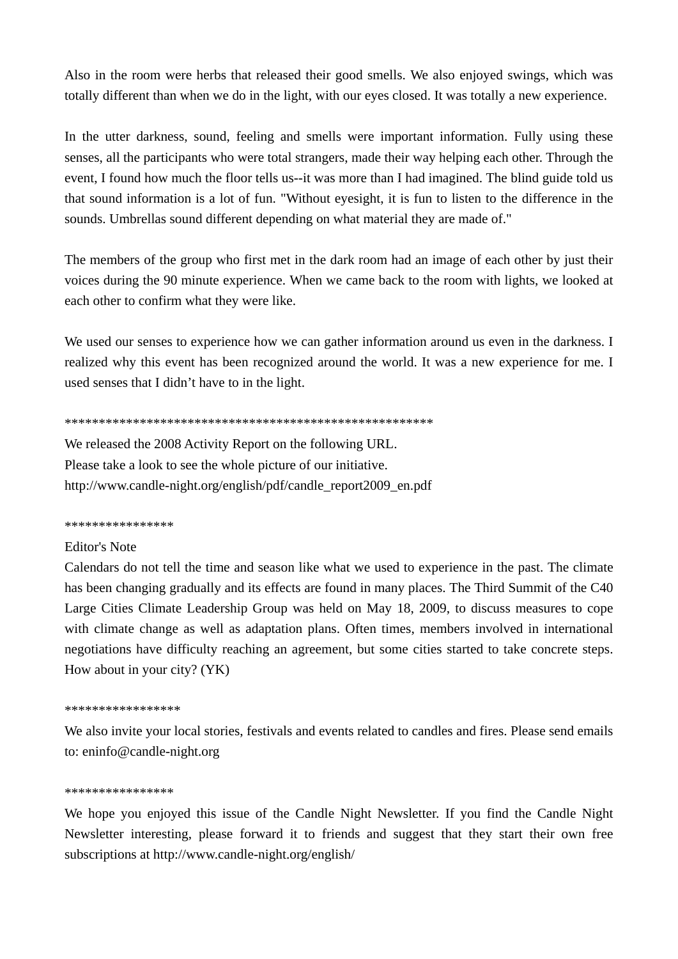Also in the room were herbs that released their good smells. We also enjoyed swings, which was totally different than when we do in the light, with our eyes closed. It was totally a new experience.

In the utter darkness, sound, feeling and smells were important information. Fully using these senses, all the participants who were total strangers, made their way helping each other. Through the event, I found how much the floor tells us--it was more than I had imagined. The blind guide told us that sound information is a lot of fun. "Without eyesight, it is fun to listen to the difference in the sounds. Umbrellas sound different depending on what material they are made of."

The members of the group who first met in the dark room had an image of each other by just their voices during the 90 minute experience. When we came back to the room with lights, we looked at each other to confirm what they were like.

We used our senses to experience how we can gather information around us even in the darkness. I realized why this event has been recognized around the world. It was a new experience for me. I used senses that I didn't have to in the light.

## \*\*\*\*\*\*\*\*\*\*\*\*\*\*\*\*\*\*\*\*\*\*\*\*\*\*\*\*\*\*\*\*\*\*\*\*\*\*\*\*\*\*\*\*\*\*\*\*\*\*\*\*\*\*

We released the 2008 Activity Report on the following URL. Please take a look to see the whole picture of our initiative. http://www.candle-night.org/english/pdf/candle\_report2009\_en.pdf

## \*\*\*\*\*\*\*\*\*\*\*\*\*\*\*\*

# Editor's Note

Calendars do not tell the time and season like what we used to experience in the past. The climate has been changing gradually and its effects are found in many places. The Third Summit of the C40 Large Cities Climate Leadership Group was held on May 18, 2009, to discuss measures to cope with climate change as well as adaptation plans. Often times, members involved in international negotiations have difficulty reaching an agreement, but some cities started to take concrete steps. How about in your city? (YK)

## \*\*\*\*\*\*\*\*\*\*\*\*\*\*\*\*\*

We also invite your local stories, festivals and events related to candles and fires. Please send emails to: eninfo@candle-night.org

## \*\*\*\*\*\*\*\*\*\*\*\*\*\*\*\*

We hope you enjoyed this issue of the Candle Night Newsletter. If you find the Candle Night Newsletter interesting, please forward it to friends and suggest that they start their own free subscriptions at http://www.candle-night.org/english/